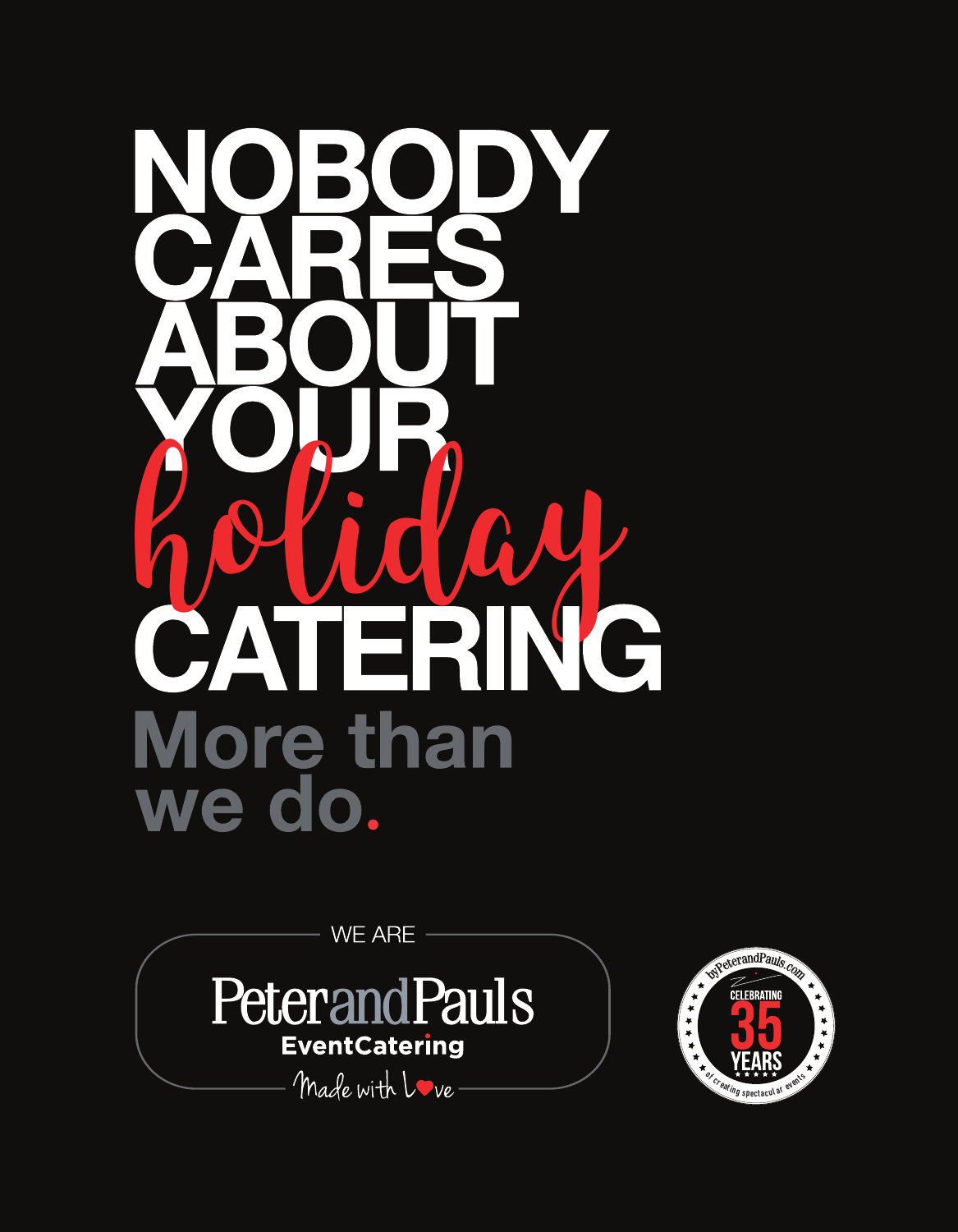

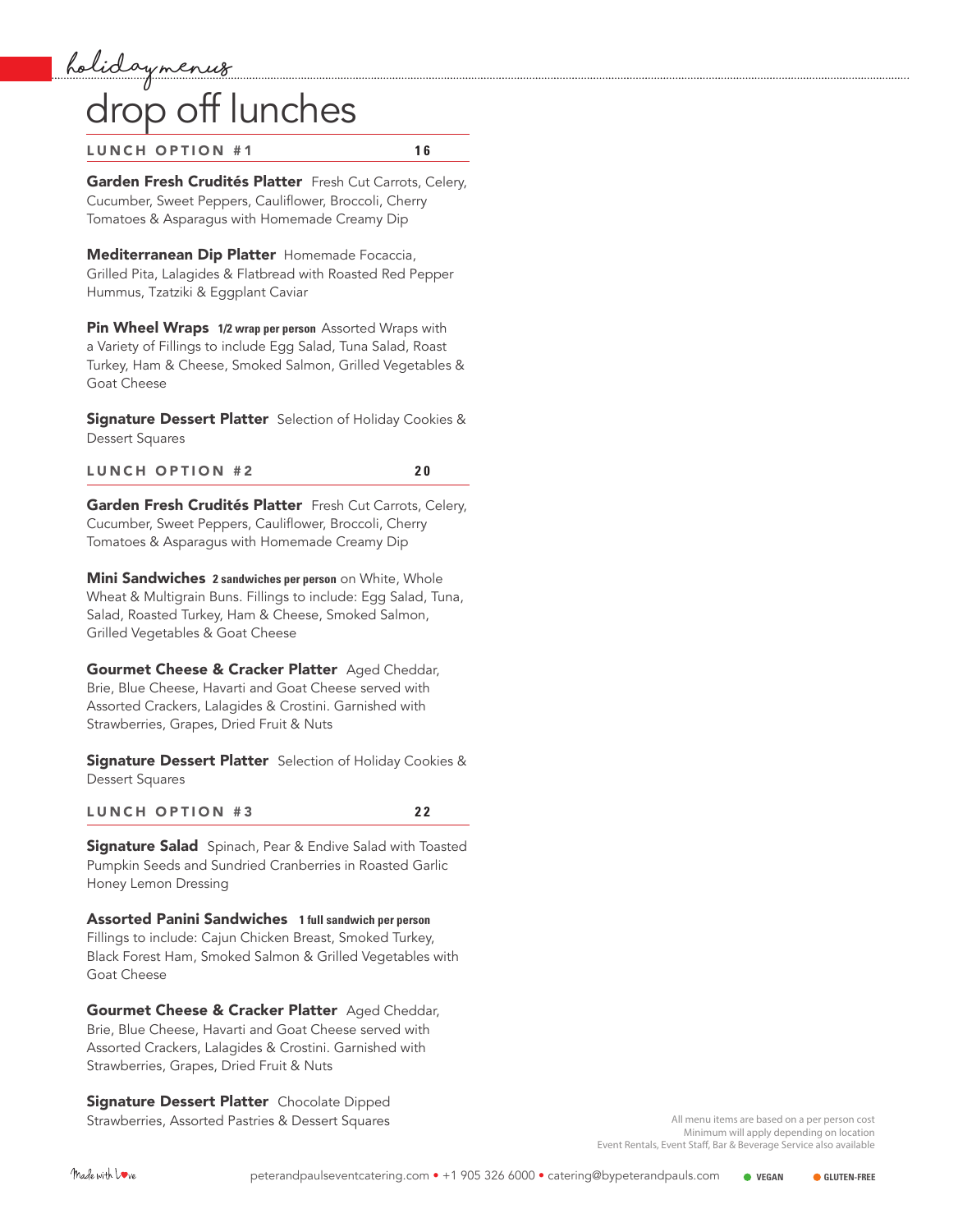### **holiday menus** op off lunches

LUNCH OPTION #1 **16** 

Garden Fresh Crudités Platter Fresh Cut Carrots, Celery, Cucumber, Sweet Peppers, Cauliflower, Broccoli, Cherry Tomatoes & Asparagus with Homemade Creamy Dip

Mediterranean Dip Platter Homemade Focaccia, Grilled Pita, Lalagides & Flatbread with Roasted Red Pepper Hummus, Tzatziki & Eggplant Caviar

Pin Wheel Wraps **1/2 wrap per person** Assorted Wraps with a Variety of Fillings to include Egg Salad, Tuna Salad, Roast Turkey, Ham & Cheese, Smoked Salmon, Grilled Vegetables & Goat Cheese

Signature Dessert Platter Selection of Holiday Cookies & Dessert Squares

LUNCH OPTION #2 **2 0**

Garden Fresh Crudités Platter Fresh Cut Carrots, Celery, Cucumber, Sweet Peppers, Cauliflower, Broccoli, Cherry Tomatoes & Asparagus with Homemade Creamy Dip

Mini Sandwiches **2 sandwiches per person** on White, Whole Wheat & Multigrain Buns. Fillings to include: Egg Salad, Tuna, Salad, Roasted Turkey, Ham & Cheese, Smoked Salmon, Grilled Vegetables & Goat Cheese

Gourmet Cheese & Cracker Platter Aged Cheddar, Brie, Blue Cheese, Havarti and Goat Cheese served with Assorted Crackers, Lalagides & Crostini. Garnished with Strawberries, Grapes, Dried Fruit & Nuts

**Signature Dessert Platter** Selection of Holiday Cookies & Dessert Squares

LUNCH OPTION #3 **2 2**

**Signature Salad** Spinach, Pear & Endive Salad with Toasted Pumpkin Seeds and Sundried Cranberries in Roasted Garlic Honey Lemon Dressing

Assorted Panini Sandwiches **1 full sandwich per person** Fillings to include: Cajun Chicken Breast, Smoked Turkey, Black Forest Ham, Smoked Salmon & Grilled Vegetables with Goat Cheese

Gourmet Cheese & Cracker Platter Aged Cheddar, Brie, Blue Cheese, Havarti and Goat Cheese served with Assorted Crackers, Lalagides & Crostini. Garnished with Strawberries, Grapes, Dried Fruit & Nuts

**Signature Dessert Platter** Chocolate Dipped Strawberries, Assorted Pastries & Dessert Squares

All menu items are based on a per person cost Minimum will apply depending on location Event Rentals, Event Staff, Bar & Beverage Service also available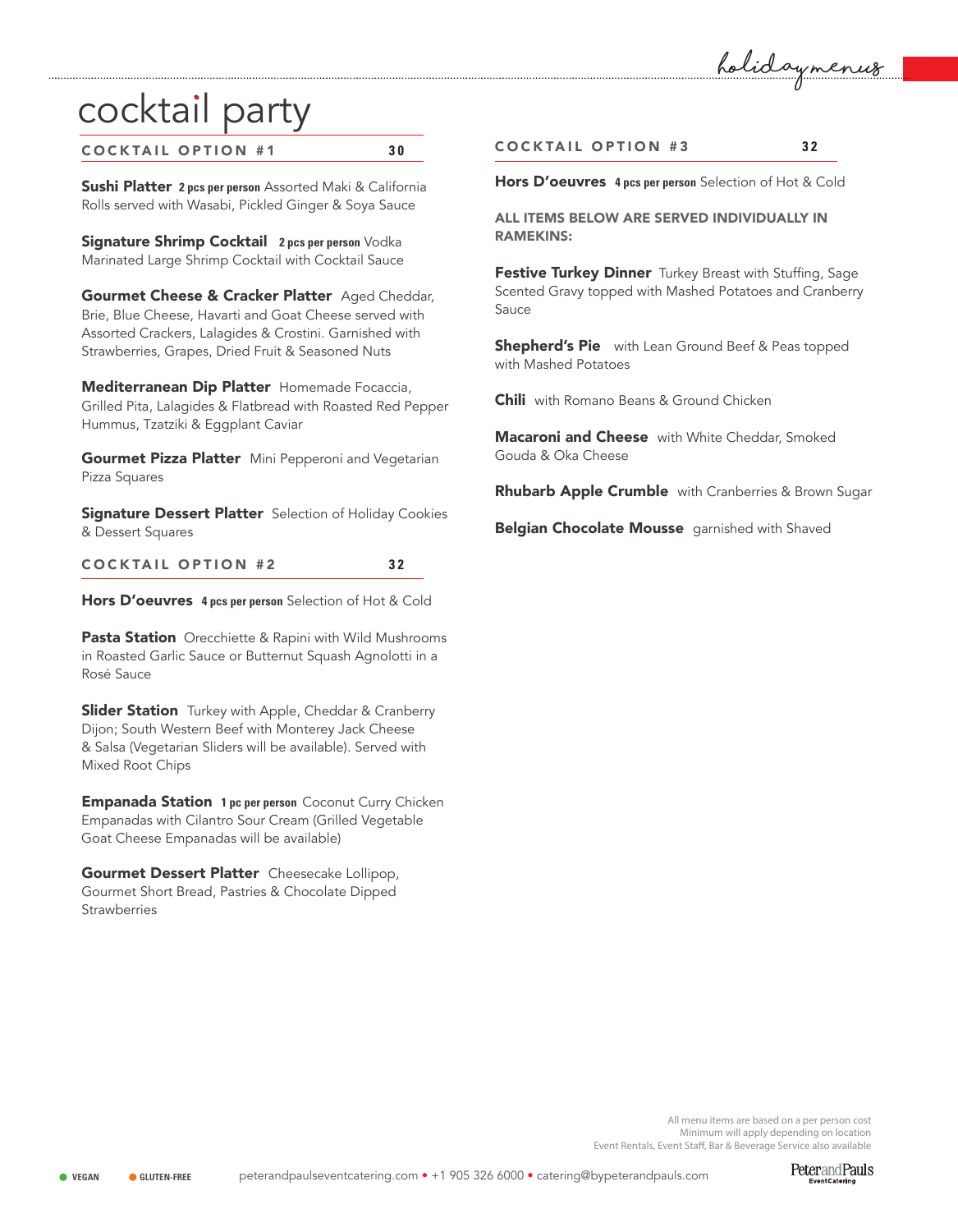**holiday menus**

# cocktail party

#### COCKTAIL OPTION #1 **3 0**

Sushi Platter **2 pcs per person** Assorted Maki & California Rolls served with Wasabi, Pickled Ginger & Soya Sauce

Signature Shrimp Cocktail **2 pcs per person** Vodka Marinated Large Shrimp Cocktail with Cocktail Sauce

Gourmet Cheese & Cracker Platter Aged Cheddar, Brie, Blue Cheese, Havarti and Goat Cheese served with Assorted Crackers, Lalagides & Crostini. Garnished with Strawberries, Grapes, Dried Fruit & Seasoned Nuts

Mediterranean Dip Platter Homemade Focaccia, Grilled Pita, Lalagides & Flatbread with Roasted Red Pepper Hummus, Tzatziki & Eggplant Caviar

**Gourmet Pizza Platter** Mini Pepperoni and Vegetarian Pizza Squares

Signature Dessert Platter Selection of Holiday Cookies & Dessert Squares

COCKTAIL OPTION #2 **3 2**

Hors D'oeuvres **4 pcs per person** Selection of Hot & Cold

Pasta Station Orecchiette & Rapini with Wild Mushrooms in Roasted Garlic Sauce or Butternut Squash Agnolotti in a Rosé Sauce

**Slider Station** Turkey with Apple, Cheddar & Cranberry Dijon; South Western Beef with Monterey Jack Cheese & Salsa (Vegetarian Sliders will be available). Served with Mixed Root Chips

Empanada Station **1 pc per person** Coconut Curry Chicken Empanadas with Cilantro Sour Cream (Grilled Vegetable Goat Cheese Empanadas will be available)

**Gourmet Dessert Platter** Cheesecake Lollipop, Gourmet Short Bread, Pastries & Chocolate Dipped **Strawberries** 

#### **COCKTAIL OPTION #3** 32

Hors D'oeuvres **4 pcs per person** Selection of Hot & Cold

ALL ITEMS BELOW ARE SERVED INDIVIDUALLY IN RAMEKINS:

Festive Turkey Dinner Turkey Breast with Stuffing, Sage Scented Gravy topped with Mashed Potatoes and Cranberry Sauce

**Shepherd's Pie** with Lean Ground Beef & Peas topped with Mashed Potatoes

Chili with Romano Beans & Ground Chicken

**Macaroni and Cheese** with White Cheddar, Smoked Gouda & Oka Cheese

**Rhubarb Apple Crumble** with Cranberries & Brown Sugar

Belgian Chocolate Mousse garnished with Shaved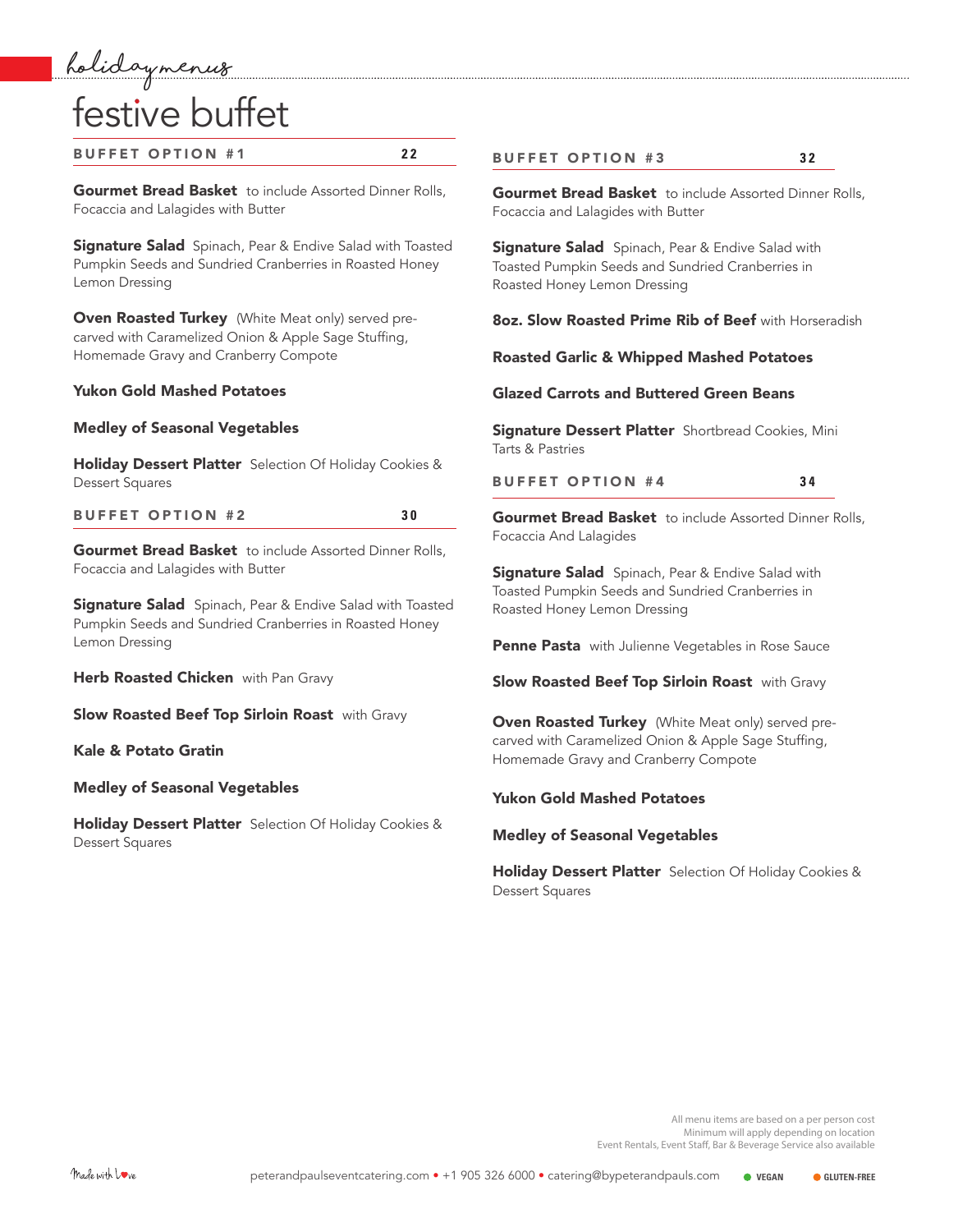## **holiday menus** festive buffet

**BUFFET OPTION #1** 22

Gourmet Bread Basket to include Assorted Dinner Rolls, Focaccia and Lalagides with Butter

**Signature Salad** Spinach, Pear & Endive Salad with Toasted Pumpkin Seeds and Sundried Cranberries in Roasted Honey Lemon Dressing

**Oven Roasted Turkey** (White Meat only) served precarved with Caramelized Onion & Apple Sage Stuffing, Homemade Gravy and Cranberry Compote

#### Yukon Gold Mashed Potatoes

#### Medley of Seasonal Vegetables

Holiday Dessert Platter Selection Of Holiday Cookies & Dessert Squares

**BUFFET OPTION #2** 30

**Gourmet Bread Basket** to include Assorted Dinner Rolls, Focaccia and Lalagides with Butter

**Signature Salad** Spinach, Pear & Endive Salad with Toasted Pumpkin Seeds and Sundried Cranberries in Roasted Honey Lemon Dressing

Herb Roasted Chicken with Pan Gravy

Slow Roasted Beef Top Sirloin Roast with Gravy

Kale & Potato Gratin

Medley of Seasonal Vegetables

Holiday Dessert Platter Selection Of Holiday Cookies & Dessert Squares

#### **BUFFET OPTION #3** 32

Gourmet Bread Basket to include Assorted Dinner Rolls, Focaccia and Lalagides with Butter

**Signature Salad** Spinach, Pear & Endive Salad with Toasted Pumpkin Seeds and Sundried Cranberries in Roasted Honey Lemon Dressing

**8oz. Slow Roasted Prime Rib of Beef** with Horseradish

Roasted Garlic & Whipped Mashed Potatoes

Glazed Carrots and Buttered Green Beans

Signature Dessert Platter Shortbread Cookies, Mini Tarts & Pastries

**BUFFET OPTION #4** 34

Gourmet Bread Basket to include Assorted Dinner Rolls, Focaccia And Lalagides

**Signature Salad** Spinach, Pear & Endive Salad with Toasted Pumpkin Seeds and Sundried Cranberries in Roasted Honey Lemon Dressing

Penne Pasta with Julienne Vegetables in Rose Sauce

Slow Roasted Beef Top Sirloin Roast with Gravy

**Oven Roasted Turkey** (White Meat only) served precarved with Caramelized Onion & Apple Sage Stuffing, Homemade Gravy and Cranberry Compote

Yukon Gold Mashed Potatoes

Medley of Seasonal Vegetables

Holiday Dessert Platter Selection Of Holiday Cookies & Dessert Squares

> All menu items are based on a per person cost Minimum will apply depending on location Event Rentals, Event Staff, Bar & Beverage Service also available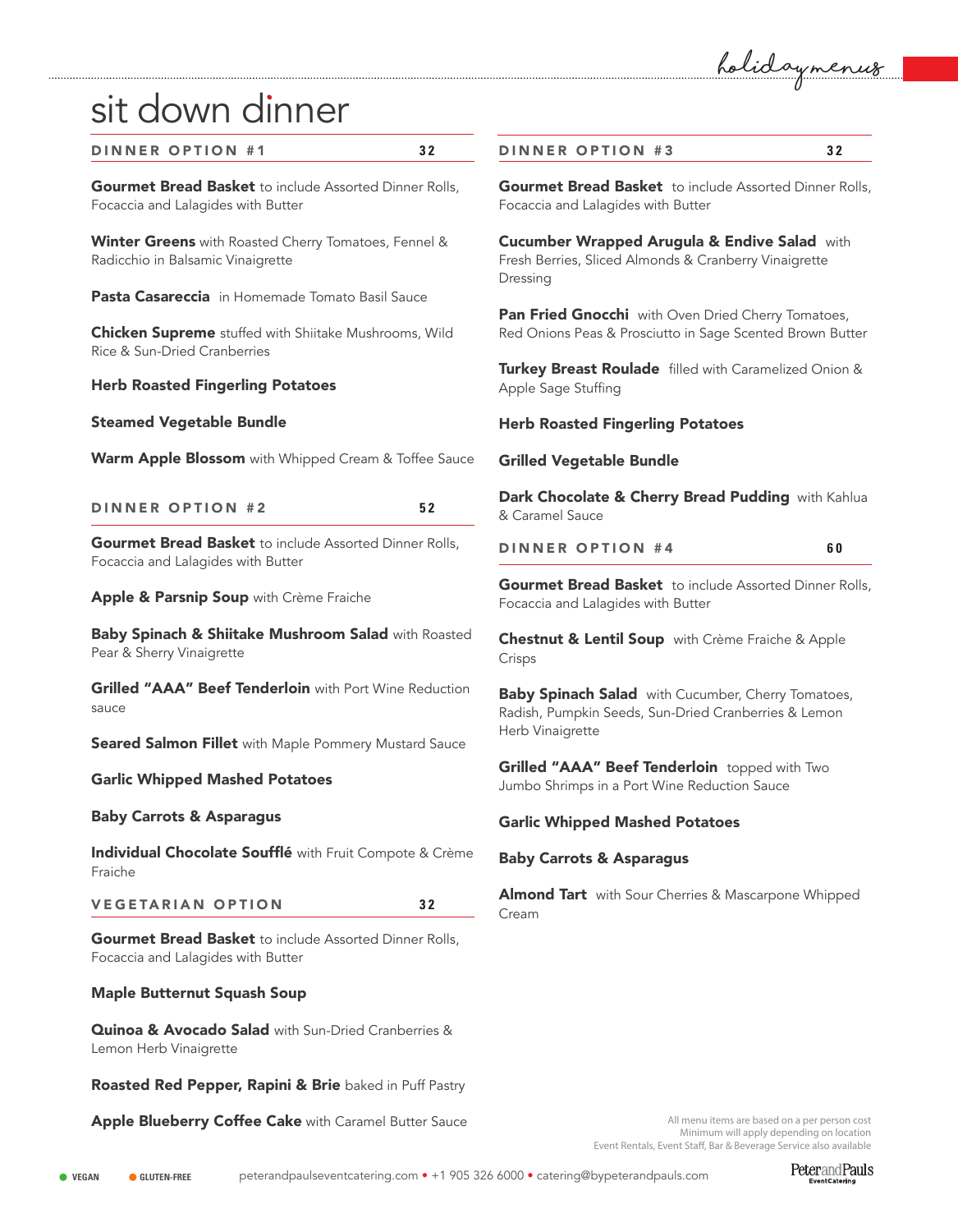**holiday menus**

# sit down dinner

**DINNER OPTION #1** 32

Gourmet Bread Basket to include Assorted Dinner Rolls, Focaccia and Lalagides with Butter

Winter Greens with Roasted Cherry Tomatoes, Fennel & Radicchio in Balsamic Vinaigrette

Pasta Casareccia in Homemade Tomato Basil Sauce

**Chicken Supreme** stuffed with Shiitake Mushrooms, Wild Rice & Sun-Dried Cranberries

Herb Roasted Fingerling Potatoes

Steamed Vegetable Bundle

**Warm Apple Blossom** with Whipped Cream & Toffee Sauce

#### **DINNER OPTION #2** 52

**Gourmet Bread Basket** to include Assorted Dinner Rolls, Focaccia and Lalagides with Butter

Apple & Parsnip Soup with Crème Fraiche

Baby Spinach & Shiitake Mushroom Salad with Roasted Pear & Sherry Vinaigrette

Grilled "AAA" Beef Tenderloin with Port Wine Reduction sauce

**Seared Salmon Fillet** with Maple Pommery Mustard Sauce

Garlic Whipped Mashed Potatoes

Baby Carrots & Asparagus

Individual Chocolate Soufflé with Fruit Compote & Crème Fraiche

#### VEGETARIAN OPTION 32

Gourmet Bread Basket to include Assorted Dinner Rolls, Focaccia and Lalagides with Butter

#### Maple Butternut Squash Soup

Quinoa & Avocado Salad with Sun-Dried Cranberries & Lemon Herb Vinaigrette

Roasted Red Pepper, Rapini & Brie baked in Puff Pastry

Apple Blueberry Coffee Cake with Caramel Butter Sauce

#### **DINNER OPTION #3** 32

Gourmet Bread Basket to include Assorted Dinner Rolls, Focaccia and Lalagides with Butter

Cucumber Wrapped Arugula & Endive Salad with Fresh Berries, Sliced Almonds & Cranberry Vinaigrette Dressing

Pan Fried Gnocchi with Oven Dried Cherry Tomatoes, Red Onions Peas & Prosciutto in Sage Scented Brown Butter

**Turkey Breast Roulade** filled with Caramelized Onion & Apple Sage Stuffing

Herb Roasted Fingerling Potatoes

Grilled Vegetable Bundle

Dark Chocolate & Cherry Bread Pudding with Kahlua & Caramel Sauce

**DINNER OPTION #4** 60

Gourmet Bread Basket to include Assorted Dinner Rolls, Focaccia and Lalagides with Butter

**Chestnut & Lentil Soup** with Crème Fraiche & Apple Crisps

Baby Spinach Salad with Cucumber, Cherry Tomatoes, Radish, Pumpkin Seeds, Sun-Dried Cranberries & Lemon Herb Vinaigrette

Grilled "AAA" Beef Tenderloin topped with Two Jumbo Shrimps in a Port Wine Reduction Sauce

#### Garlic Whipped Mashed Potatoes

Baby Carrots & Asparagus

**Almond Tart** with Sour Cherries & Mascarpone Whipped Cream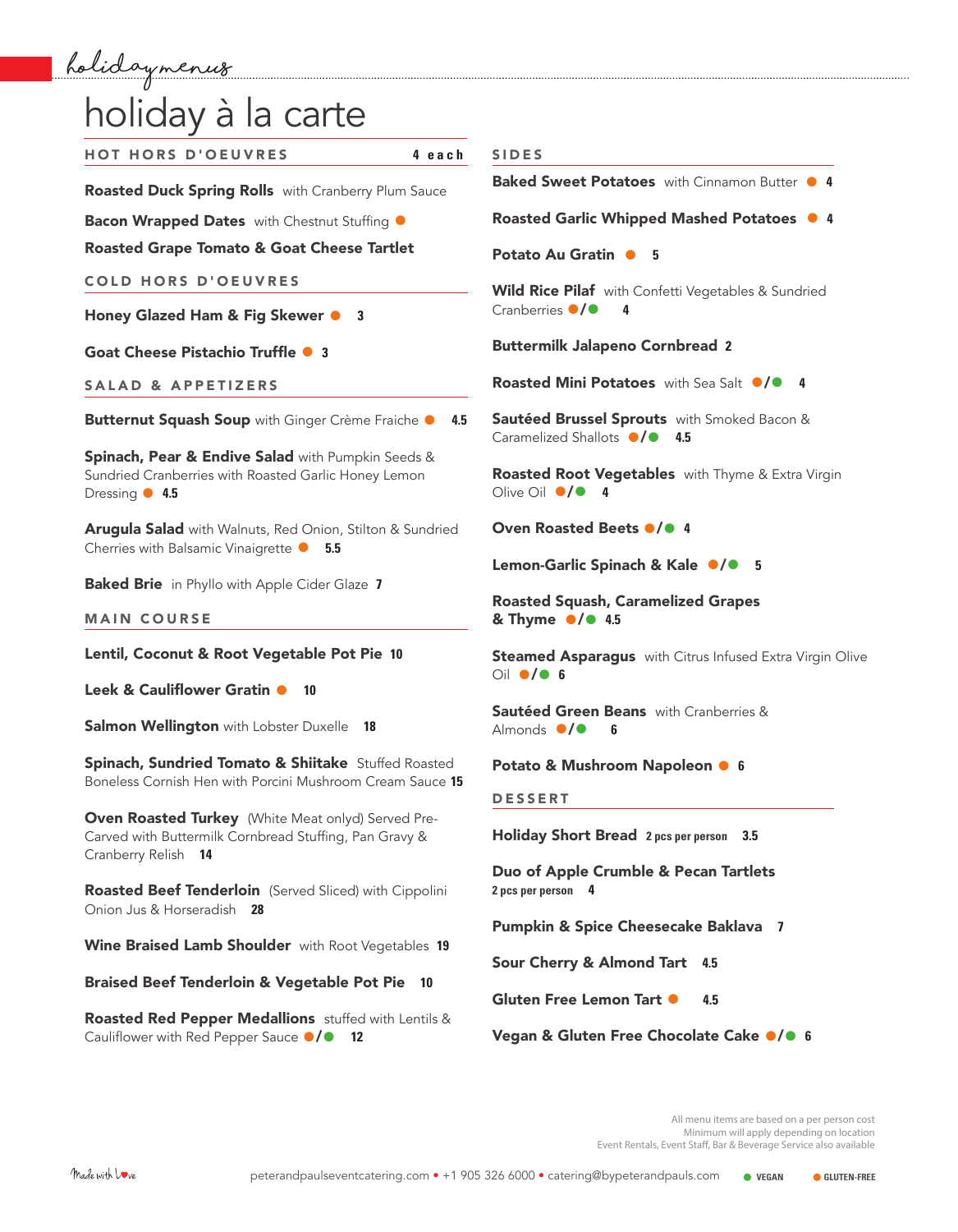### holiday à la carte **holiday menus**

HOT HORS D'OEUVRES **4 each**

Roasted Duck Spring Rolls with Cranberry Plum Sauce

Bacon Wrapped Dates with Chestnut Stuffing  $\bullet$ 

Roasted Grape Tomato & Goat Cheese Tartlet

COLD HORS D'OEUVRES

Honey Glazed Ham & Fig Skewer <sup>0</sup> 3

Goat Cheese Pistachio Truffle • **<sup>3</sup>**

SALAD & APPETIZERS

Butternut Squash Soup with Ginger Crème Fraiche <sup>1</sup>5

**Spinach, Pear & Endive Salad** with Pumpkin Seeds & Sundried Cranberries with Roasted Garlic Honey Lemon Dressing **4.5** 

Arugula Salad with Walnuts, Red Onion, Stilton & Sundried Cherries with Balsamic Vinaigrette **• 5.5** 

Baked Brie in Phyllo with Apple Cider Glaze **7**

MAIN COURSE

Lentil, Coconut & Root Vegetable Pot Pie **10**

Leek & Cauliflower Gratin <sup>•</sup> 10

Salmon Wellington with Lobster Duxelle **<sup>18</sup>**

Spinach, Sundried Tomato & Shiitake Stuffed Roasted Boneless Cornish Hen with Porcini Mushroom Cream Sauce **15**

**Oven Roasted Turkey** (White Meat onlyd) Served Pre-Carved with Buttermilk Cornbread Stuffing, Pan Gravy & Cranberry Relish **<sup>14</sup>**

Roasted Beef Tenderloin (Served Sliced) with Cippolini Onion Jus & Horseradish **<sup>28</sup>**

Wine Braised Lamb Shoulder with Root Vegetables **19**

Braised Beef Tenderloin & Vegetable Pot Pie **<sup>10</sup>**

Roasted Red Pepper Medallions stuffed with Lentils & Cauliflower with Red Pepper Sauce <sup>1</sup>/<sup>0</sup> 12

#### SIDES

**Baked Sweet Potatoes** with Cinnamon Butter <sup>●</sup> 4

Roasted Garlic Whipped Mashed Potatoes • **<sup>4</sup>**

Potato Au Gratin <sup>•</sup> 5

**Wild Rice Pilaf** with Confetti Vegetables & Sundried Cranberries  $\bullet$  /  $\bullet$  **4** 

Buttermilk Jalapeno Cornbread **2**

**Roasted Mini Potatoes** with Sea Salt  $\bullet$ / $\bullet$  4

Sautéed Brussel Sprouts with Smoked Bacon & Caramelized Shallots <sup>•</sup>/• **4.5** 

Roasted Root Vegetables with Thyme & Extra Virgin Olive Oil  $\bullet$ / $\bullet$  4

Oven Roasted Beets  $\bullet$  / $\bullet$  4

Lemon-Garlic Spinach & Kale ●/● 5

Roasted Squash, Caramelized Grapes & Thyme •/• **4.5**

**Steamed Asparagus** with Citrus Infused Extra Virgin Olive Oil •/• **<sup>6</sup>**

**Sautéed Green Beans** with Cranberries & Almonds •/• **<sup>6</sup>**

Potato & Mushroom Napoleon • **<sup>6</sup>**

DESSERT

Holiday Short Bread **2 pcs per person 3.5**

Duo of Apple Crumble & Pecan Tartlets **2 pcs per person <sup>4</sup>**

Pumpkin & Spice Cheesecake Baklava **<sup>7</sup>**

Sour Cherry & Almond Tart **4.5**

Gluten Free Lemon Tart <sup>1</sup> 4.5

Vegan & Gluten Free Chocolate Cake •/• **<sup>6</sup>**

All menu items are based on a per person cost Minimum will apply depending on location Event Rentals, Event Staff, Bar & Beverage Service also available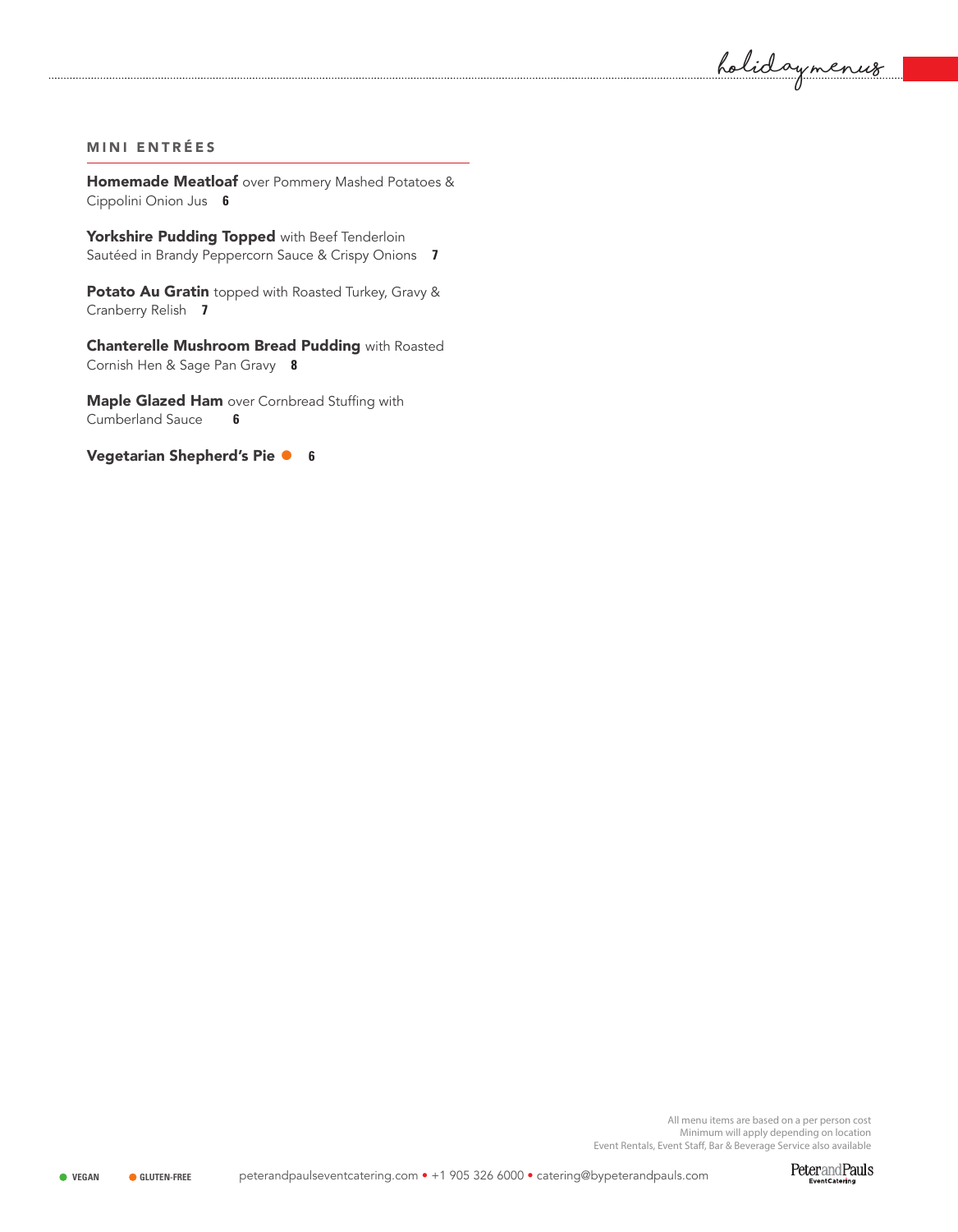**holiday menus**

#### MINI ENTRÉES

Homemade Meatloaf over Pommery Mashed Potatoes & Cippolini Onion Jus **<sup>6</sup>**

Yorkshire Pudding Topped with Beef Tenderloin Sautéed in Brandy Peppercorn Sauce & Crispy Onions **<sup>7</sup>**

Potato Au Gratin topped with Roasted Turkey, Gravy & Cranberry Relish **<sup>7</sup>**

Chanterelle Mushroom Bread Pudding with Roasted Cornish Hen & Sage Pan Gravy **<sup>8</sup>**

Maple Glazed Ham over Cornbread Stuffing with Cumberland Sauce **<sup>6</sup>**

Vegetarian Shepherd's Pie • **<sup>6</sup>**